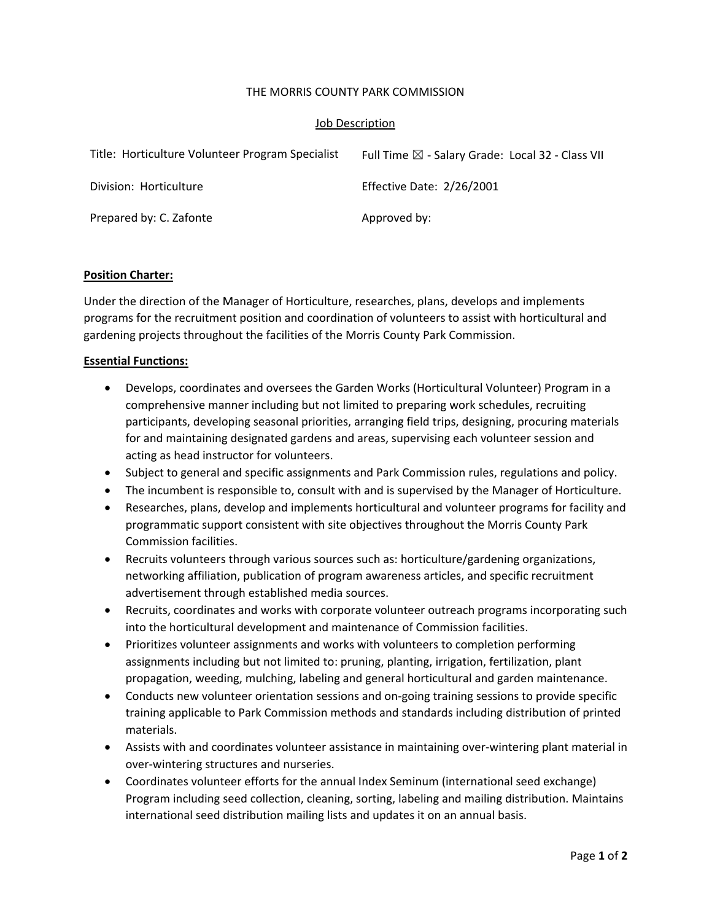#### THE MORRIS COUNTY PARK COMMISSION

## Job Description

| Title: Horticulture Volunteer Program Specialist | Full Time $\boxtimes$ - Salary Grade: Local 32 - Class VII |
|--------------------------------------------------|------------------------------------------------------------|
| Division: Horticulture                           | Effective Date: 2/26/2001                                  |
| Prepared by: C. Zafonte                          | Approved by:                                               |

#### **Position Charter:**

Under the direction of the Manager of Horticulture, researches, plans, develops and implements programs for the recruitment position and coordination of volunteers to assist with horticultural and gardening projects throughout the facilities of the Morris County Park Commission.

## **Essential Functions:**

- Develops, coordinates and oversees the Garden Works (Horticultural Volunteer) Program in a comprehensive manner including but not limited to preparing work schedules, recruiting participants, developing seasonal priorities, arranging field trips, designing, procuring materials for and maintaining designated gardens and areas, supervising each volunteer session and acting as head instructor for volunteers.
- Subject to general and specific assignments and Park Commission rules, regulations and policy.
- The incumbent is responsible to, consult with and is supervised by the Manager of Horticulture.
- Researches, plans, develop and implements horticultural and volunteer programs for facility and programmatic support consistent with site objectives throughout the Morris County Park Commission facilities.
- Recruits volunteers through various sources such as: horticulture/gardening organizations, networking affiliation, publication of program awareness articles, and specific recruitment advertisement through established media sources.
- Recruits, coordinates and works with corporate volunteer outreach programs incorporating such into the horticultural development and maintenance of Commission facilities.
- Prioritizes volunteer assignments and works with volunteers to completion performing assignments including but not limited to: pruning, planting, irrigation, fertilization, plant propagation, weeding, mulching, labeling and general horticultural and garden maintenance.
- Conducts new volunteer orientation sessions and on-going training sessions to provide specific training applicable to Park Commission methods and standards including distribution of printed materials.
- Assists with and coordinates volunteer assistance in maintaining over-wintering plant material in over‐wintering structures and nurseries.
- Coordinates volunteer efforts for the annual Index Seminum (international seed exchange) Program including seed collection, cleaning, sorting, labeling and mailing distribution. Maintains international seed distribution mailing lists and updates it on an annual basis.